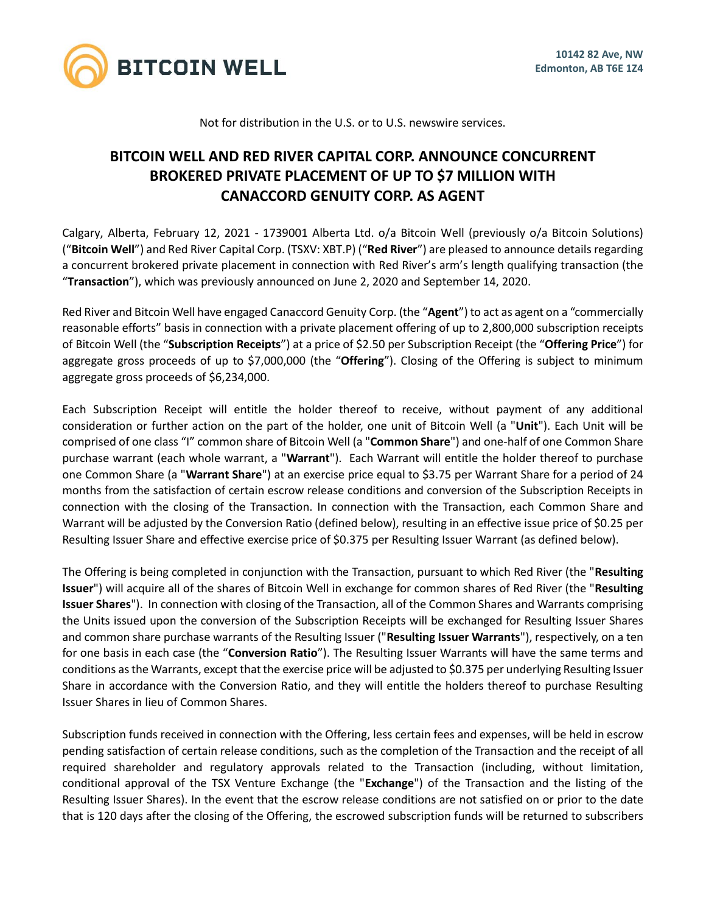

Not for distribution in the U.S. or to U.S. newswire services.

## **BITCOIN WELL AND RED RIVER CAPITAL CORP. ANNOUNCE CONCURRENT BROKERED PRIVATE PLACEMENT OF UP TO \$7 MILLION WITH CANACCORD GENUITY CORP. AS AGENT**

Calgary, Alberta, February 12, 2021 - 1739001 Alberta Ltd. o/a Bitcoin Well (previously o/a Bitcoin Solutions) ("**Bitcoin Well**") and Red River Capital Corp. (TSXV: XBT.P) ("**Red River**") are pleased to announce details regarding a concurrent brokered private placement in connection with Red River's arm's length qualifying transaction (the "**Transaction**"), which was previously announced on June 2, 2020 and September 14, 2020.

Red River and Bitcoin Well have engaged Canaccord Genuity Corp. (the "**Agent**") to act as agent on a "commercially reasonable efforts" basis in connection with a private placement offering of up to 2,800,000 subscription receipts of Bitcoin Well (the "**Subscription Receipts**") at a price of \$2.50 per Subscription Receipt (the "**Offering Price**") for aggregate gross proceeds of up to \$7,000,000 (the "**Offering**"). Closing of the Offering is subject to minimum aggregate gross proceeds of \$6,234,000.

Each Subscription Receipt will entitle the holder thereof to receive, without payment of any additional consideration or further action on the part of the holder, one unit of Bitcoin Well (a "**Unit**"). Each Unit will be comprised of one class "I" common share of Bitcoin Well (a "**Common Share**") and one-half of one Common Share purchase warrant (each whole warrant, a "**Warrant**"). Each Warrant will entitle the holder thereof to purchase one Common Share (a "**Warrant Share**") at an exercise price equal to \$3.75 per Warrant Share for a period of 24 months from the satisfaction of certain escrow release conditions and conversion of the Subscription Receipts in connection with the closing of the Transaction. In connection with the Transaction, each Common Share and Warrant will be adjusted by the Conversion Ratio (defined below), resulting in an effective issue price of \$0.25 per Resulting Issuer Share and effective exercise price of \$0.375 per Resulting Issuer Warrant (as defined below).

The Offering is being completed in conjunction with the Transaction, pursuant to which Red River (the "**Resulting Issuer**") will acquire all of the shares of Bitcoin Well in exchange for common shares of Red River (the "**Resulting Issuer Shares**"). In connection with closing of the Transaction, all of the Common Shares and Warrants comprising the Units issued upon the conversion of the Subscription Receipts will be exchanged for Resulting Issuer Shares and common share purchase warrants of the Resulting Issuer ("**Resulting Issuer Warrants**"), respectively, on a ten for one basis in each case (the "**Conversion Ratio**"). The Resulting Issuer Warrants will have the same terms and conditions as the Warrants, except that the exercise price will be adjusted to \$0.375 per underlying Resulting Issuer Share in accordance with the Conversion Ratio, and they will entitle the holders thereof to purchase Resulting Issuer Shares in lieu of Common Shares.

Subscription funds received in connection with the Offering, less certain fees and expenses, will be held in escrow pending satisfaction of certain release conditions, such as the completion of the Transaction and the receipt of all required shareholder and regulatory approvals related to the Transaction (including, without limitation, conditional approval of the TSX Venture Exchange (the "**Exchange**") of the Transaction and the listing of the Resulting Issuer Shares). In the event that the escrow release conditions are not satisfied on or prior to the date that is 120 days after the closing of the Offering, the escrowed subscription funds will be returned to subscribers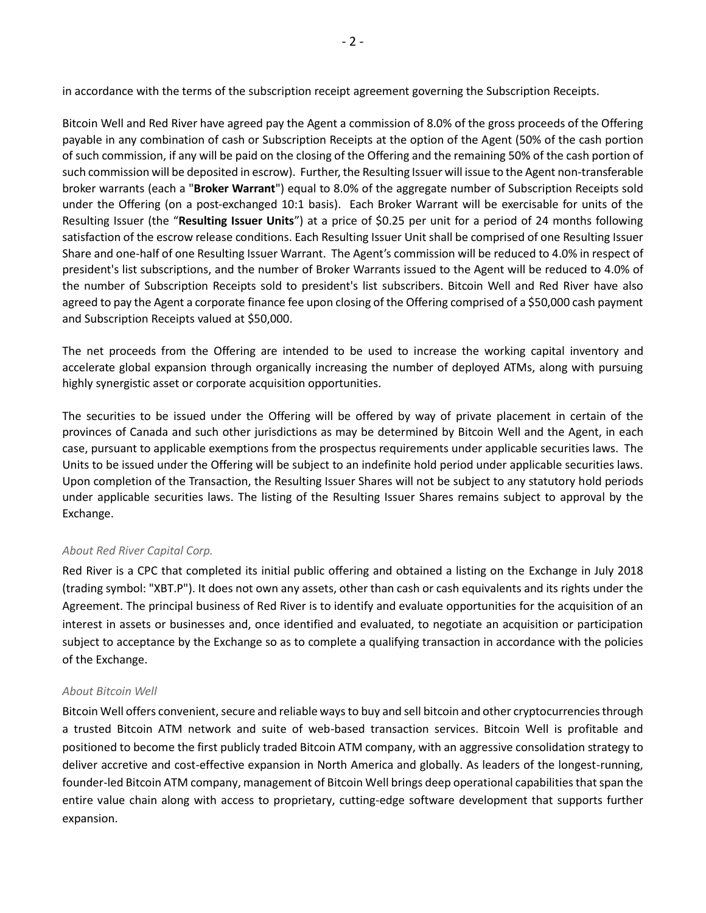in accordance with the terms of the subscription receipt agreement governing the Subscription Receipts.

Bitcoin Well and Red River have agreed pay the Agent a commission of 8.0% of the gross proceeds of the Offering payable in any combination of cash or Subscription Receipts at the option of the Agent (50% of the cash portion of such commission, if any will be paid on the closing of the Offering and the remaining 50% of the cash portion of such commission will be deposited in escrow). Further, the Resulting Issuer will issue to the Agent non-transferable broker warrants (each a "**Broker Warrant**") equal to 8.0% of the aggregate number of Subscription Receipts sold under the Offering (on a post-exchanged 10:1 basis). Each Broker Warrant will be exercisable for units of the Resulting Issuer (the "**Resulting Issuer Units**") at a price of \$0.25 per unit for a period of 24 months following satisfaction of the escrow release conditions. Each Resulting Issuer Unit shall be comprised of one Resulting Issuer Share and one-half of one Resulting Issuer Warrant. The Agent's commission will be reduced to 4.0% in respect of president's list subscriptions, and the number of Broker Warrants issued to the Agent will be reduced to 4.0% of the number of Subscription Receipts sold to president's list subscribers. Bitcoin Well and Red River have also agreed to pay the Agent a corporate finance fee upon closing of the Offering comprised of a \$50,000 cash payment and Subscription Receipts valued at \$50,000.

The net proceeds from the Offering are intended to be used to increase the working capital inventory and accelerate global expansion through organically increasing the number of deployed ATMs, along with pursuing highly synergistic asset or corporate acquisition opportunities.

The securities to be issued under the Offering will be offered by way of private placement in certain of the provinces of Canada and such other jurisdictions as may be determined by Bitcoin Well and the Agent, in each case, pursuant to applicable exemptions from the prospectus requirements under applicable securities laws. The Units to be issued under the Offering will be subject to an indefinite hold period under applicable securities laws. Upon completion of the Transaction, the Resulting Issuer Shares will not be subject to any statutory hold periods under applicable securities laws. The listing of the Resulting Issuer Shares remains subject to approval by the Exchange.

## *About Red River Capital Corp.*

Red River is a CPC that completed its initial public offering and obtained a listing on the Exchange in July 2018 (trading symbol: "XBT.P"). It does not own any assets, other than cash or cash equivalents and its rights under the Agreement. The principal business of Red River is to identify and evaluate opportunities for the acquisition of an interest in assets or businesses and, once identified and evaluated, to negotiate an acquisition or participation subject to acceptance by the Exchange so as to complete a qualifying transaction in accordance with the policies of the Exchange.

## *About Bitcoin Well*

Bitcoin Well offers convenient, secure and reliable ways to buy and sell bitcoin and other cryptocurrencies through a trusted Bitcoin ATM network and suite of web-based transaction services. Bitcoin Well is profitable and positioned to become the first publicly traded Bitcoin ATM company, with an aggressive consolidation strategy to deliver accretive and cost-effective expansion in North America and globally. As leaders of the longest-running, founder-led Bitcoin ATM company, management of Bitcoin Well brings deep operational capabilities that span the entire value chain along with access to proprietary, cutting-edge software development that supports further expansion.